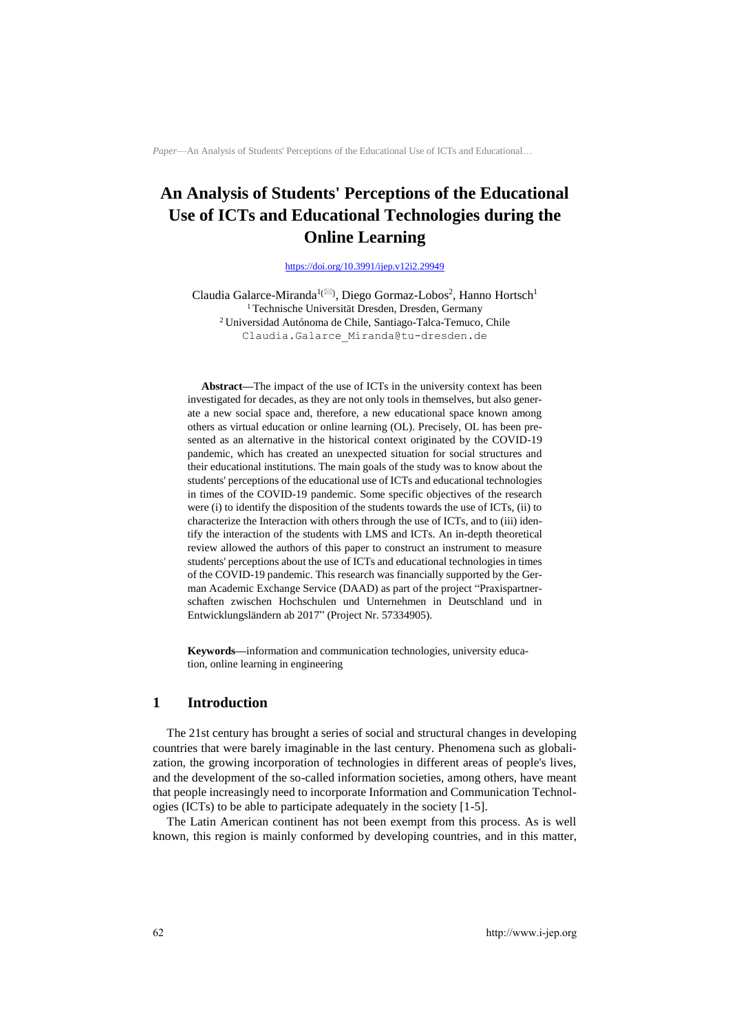# **An Analysis of Students' Perceptions of the Educational Use of ICTs and Educational Technologies during the Online Learning**

#### <https://doi.org/10.3991/ijep.v12i2.29949>

Claudia Galarce-Miranda<sup>1( $\boxtimes$ )</sup>, Diego Gormaz-Lobos<sup>2</sup>, Hanno Hortsch<sup>1</sup> <sup>1</sup> Technische Universität Dresden, Dresden, Germany <sup>2</sup>Universidad Autónoma de Chile, Santiago-Talca-Temuco, Chile Claudia.Galarce\_Miranda@tu-dresden.de

**Abstract—**The impact of the use of ICTs in the university context has been investigated for decades, as they are not only tools in themselves, but also generate a new social space and, therefore, a new educational space known among others as virtual education or online learning (OL). Precisely, OL has been presented as an alternative in the historical context originated by the COVID-19 pandemic, which has created an unexpected situation for social structures and their educational institutions. The main goals of the study was to know about the students' perceptions of the educational use of ICTs and educational technologies in times of the COVID-19 pandemic. Some specific objectives of the research were (i) to identify the disposition of the students towards the use of ICTs, (ii) to characterize the Interaction with others through the use of ICTs, and to (iii) identify the interaction of the students with LMS and ICTs. An in-depth theoretical review allowed the authors of this paper to construct an instrument to measure students' perceptions about the use of ICTs and educational technologies in times of the COVID-19 pandemic. This research was financially supported by the German Academic Exchange Service (DAAD) as part of the project "Praxispartnerschaften zwischen Hochschulen und Unternehmen in Deutschland und in Entwicklungsländern ab 2017" (Project Nr. 57334905).

**Keywords—**information and communication technologies, university education, online learning in engineering

# **1 Introduction**

The 21st century has brought a series of social and structural changes in developing countries that were barely imaginable in the last century. Phenomena such as globalization, the growing incorporation of technologies in different areas of people's lives, and the development of the so-called information societies, among others, have meant that people increasingly need to incorporate Information and Communication Technologies (ICTs) to be able to participate adequately in the society [1-5].

The Latin American continent has not been exempt from this process. As is well known, this region is mainly conformed by developing countries, and in this matter,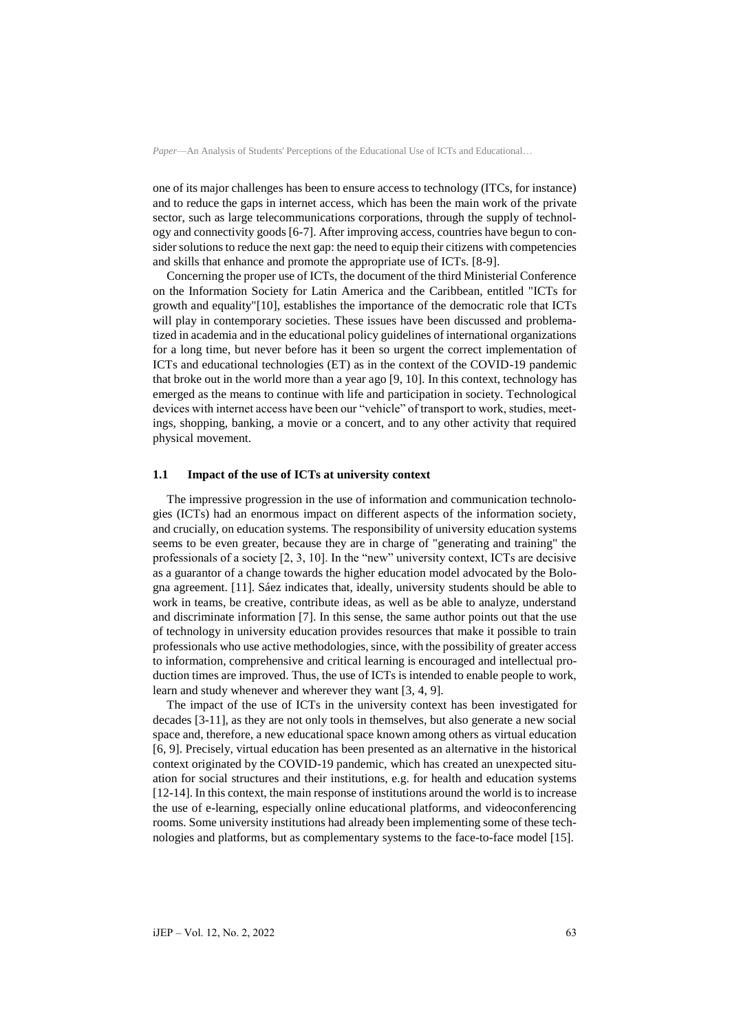one of its major challenges has been to ensure access to technology (ITCs, for instance) and to reduce the gaps in internet access, which has been the main work of the private sector, such as large telecommunications corporations, through the supply of technology and connectivity goods [6-7]. After improving access, countries have begun to consider solutions to reduce the next gap: the need to equip their citizens with competencies and skills that enhance and promote the appropriate use of ICTs. [8-9].

Concerning the proper use of ICTs, the document of the third Ministerial Conference on the Information Society for Latin America and the Caribbean, entitled "ICTs for growth and equality"[10], establishes the importance of the democratic role that ICTs will play in contemporary societies. These issues have been discussed and problematized in academia and in the educational policy guidelines of international organizations for a long time, but never before has it been so urgent the correct implementation of ICTs and educational technologies (ET) as in the context of the COVID-19 pandemic that broke out in the world more than a year ago [9, 10]. In this context, technology has emerged as the means to continue with life and participation in society. Technological devices with internet access have been our "vehicle" of transport to work, studies, meetings, shopping, banking, a movie or a concert, and to any other activity that required physical movement.

# **1.1 Impact of the use of ICTs at university context**

The impressive progression in the use of information and communication technologies (ICTs) had an enormous impact on different aspects of the information society, and crucially, on education systems. The responsibility of university education systems seems to be even greater, because they are in charge of "generating and training" the professionals of a society [2, 3, 10]. In the "new" university context, ICTs are decisive as a guarantor of a change towards the higher education model advocated by the Bologna agreement. [11]. Sáez indicates that, ideally, university students should be able to work in teams, be creative, contribute ideas, as well as be able to analyze, understand and discriminate information [7]. In this sense, the same author points out that the use of technology in university education provides resources that make it possible to train professionals who use active methodologies, since, with the possibility of greater access to information, comprehensive and critical learning is encouraged and intellectual production times are improved. Thus, the use of ICTs is intended to enable people to work, learn and study whenever and wherever they want [3, 4, 9].

The impact of the use of ICTs in the university context has been investigated for decades [3-11], as they are not only tools in themselves, but also generate a new social space and, therefore, a new educational space known among others as virtual education [6, 9]. Precisely, virtual education has been presented as an alternative in the historical context originated by the COVID-19 pandemic, which has created an unexpected situation for social structures and their institutions, e.g. for health and education systems [12-14]. In this context, the main response of institutions around the world is to increase the use of e-learning, especially online educational platforms, and videoconferencing rooms. Some university institutions had already been implementing some of these technologies and platforms, but as complementary systems to the face-to-face model [15].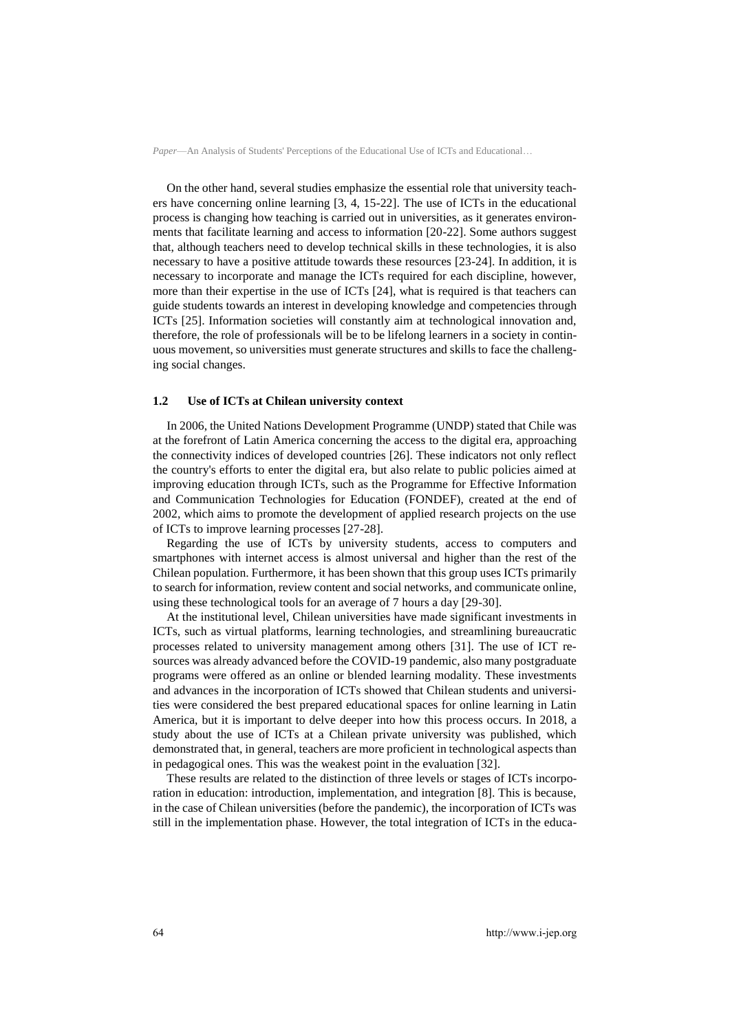On the other hand, several studies emphasize the essential role that university teachers have concerning online learning [3, 4, 15-22]. The use of ICTs in the educational process is changing how teaching is carried out in universities, as it generates environments that facilitate learning and access to information [20-22]. Some authors suggest that, although teachers need to develop technical skills in these technologies, it is also necessary to have a positive attitude towards these resources [23-24]. In addition, it is necessary to incorporate and manage the ICTs required for each discipline, however, more than their expertise in the use of ICTs [24], what is required is that teachers can guide students towards an interest in developing knowledge and competencies through ICTs [25]. Information societies will constantly aim at technological innovation and, therefore, the role of professionals will be to be lifelong learners in a society in continuous movement, so universities must generate structures and skills to face the challenging social changes.

#### **1.2 Use of ICTs at Chilean university context**

In 2006, the United Nations Development Programme (UNDP) stated that Chile was at the forefront of Latin America concerning the access to the digital era, approaching the connectivity indices of developed countries [26]. These indicators not only reflect the country's efforts to enter the digital era, but also relate to public policies aimed at improving education through ICTs, such as the Programme for Effective Information and Communication Technologies for Education (FONDEF), created at the end of 2002, which aims to promote the development of applied research projects on the use of ICTs to improve learning processes [27-28].

Regarding the use of ICTs by university students, access to computers and smartphones with internet access is almost universal and higher than the rest of the Chilean population. Furthermore, it has been shown that this group uses ICTs primarily to search for information, review content and social networks, and communicate online, using these technological tools for an average of 7 hours a day [29-30].

At the institutional level, Chilean universities have made significant investments in ICTs, such as virtual platforms, learning technologies, and streamlining bureaucratic processes related to university management among others [31]. The use of ICT resources was already advanced before the COVID-19 pandemic, also many postgraduate programs were offered as an online or blended learning modality. These investments and advances in the incorporation of ICTs showed that Chilean students and universities were considered the best prepared educational spaces for online learning in Latin America, but it is important to delve deeper into how this process occurs. In 2018, a study about the use of ICTs at a Chilean private university was published, which demonstrated that, in general, teachers are more proficient in technological aspects than in pedagogical ones. This was the weakest point in the evaluation [32].

These results are related to the distinction of three levels or stages of ICTs incorporation in education: introduction, implementation, and integration [8]. This is because, in the case of Chilean universities (before the pandemic), the incorporation of ICTs was still in the implementation phase. However, the total integration of ICTs in the educa-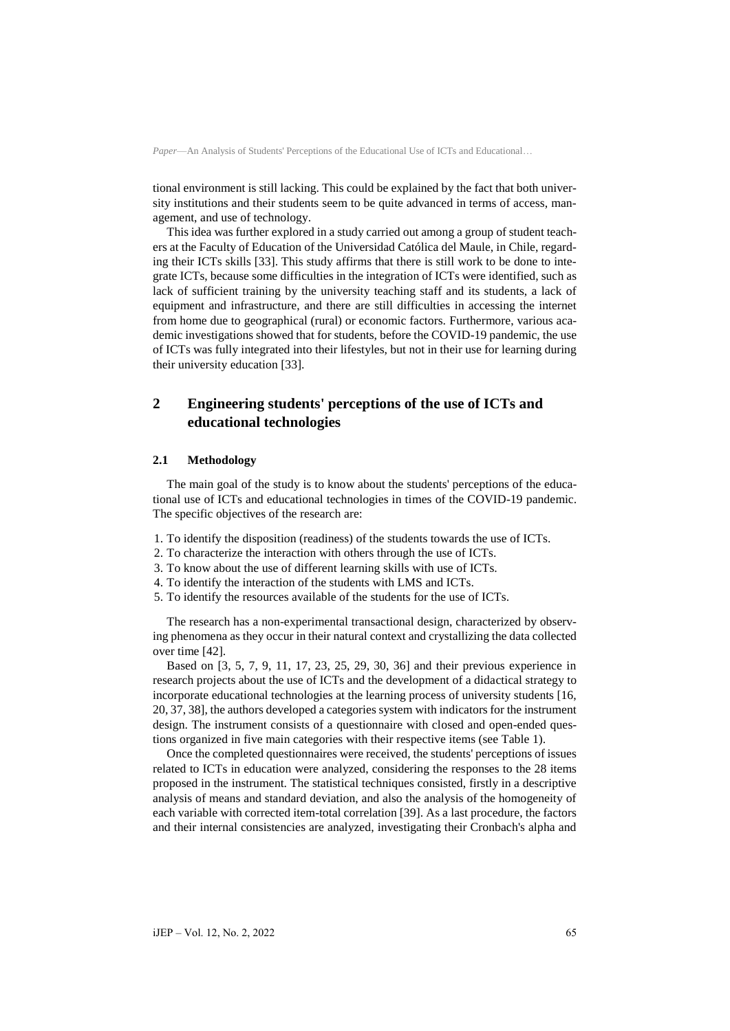tional environment is still lacking. This could be explained by the fact that both university institutions and their students seem to be quite advanced in terms of access, management, and use of technology.

This idea was further explored in a study carried out among a group of student teachers at the Faculty of Education of the Universidad Católica del Maule, in Chile, regarding their ICTs skills [33]. This study affirms that there is still work to be done to integrate ICTs, because some difficulties in the integration of ICTs were identified, such as lack of sufficient training by the university teaching staff and its students, a lack of equipment and infrastructure, and there are still difficulties in accessing the internet from home due to geographical (rural) or economic factors. Furthermore, various academic investigations showed that for students, before the COVID-19 pandemic, the use of ICTs was fully integrated into their lifestyles, but not in their use for learning during their university education [33].

# **2 Engineering students' perceptions of the use of ICTs and educational technologies**

# **2.1 Methodology**

The main goal of the study is to know about the students' perceptions of the educational use of ICTs and educational technologies in times of the COVID-19 pandemic. The specific objectives of the research are:

- 1. To identify the disposition (readiness) of the students towards the use of ICTs.
- 2. To characterize the interaction with others through the use of ICTs.
- 3. To know about the use of different learning skills with use of ICTs.
- 4. To identify the interaction of the students with LMS and ICTs.
- 5. To identify the resources available of the students for the use of ICTs.

The research has a non-experimental transactional design, characterized by observing phenomena as they occur in their natural context and crystallizing the data collected over time [42].

Based on [3, 5, 7, 9, 11, 17, 23, 25, 29, 30, 36] and their previous experience in research projects about the use of ICTs and the development of a didactical strategy to incorporate educational technologies at the learning process of university students [16, 20, 37, 38], the authors developed a categories system with indicators for the instrument design. The instrument consists of a questionnaire with closed and open-ended questions organized in five main categories with their respective items (see Table 1).

Once the completed questionnaires were received, the students' perceptions of issues related to ICTs in education were analyzed, considering the responses to the 28 items proposed in the instrument. The statistical techniques consisted, firstly in a descriptive analysis of means and standard deviation, and also the analysis of the homogeneity of each variable with corrected item-total correlation [39]. As a last procedure, the factors and their internal consistencies are analyzed, investigating their Cronbach's alpha and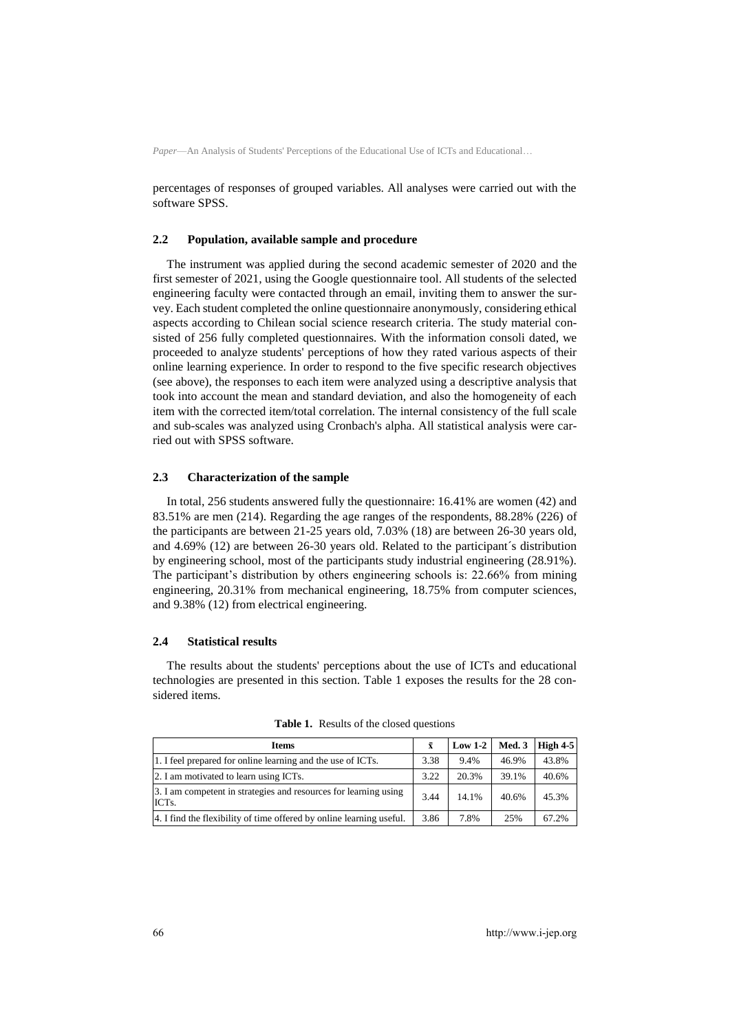percentages of responses of grouped variables. All analyses were carried out with the software SPSS.

#### **2.2 Population, available sample and procedure**

The instrument was applied during the second academic semester of 2020 and the first semester of 2021, using the Google questionnaire tool. All students of the selected engineering faculty were contacted through an email, inviting them to answer the survey. Each student completed the online questionnaire anonymously, considering ethical aspects according to Chilean social science research criteria. The study material consisted of 256 fully completed questionnaires. With the information consoli dated, we proceeded to analyze students' perceptions of how they rated various aspects of their online learning experience. In order to respond to the five specific research objectives (see above), the responses to each item were analyzed using a descriptive analysis that took into account the mean and standard deviation, and also the homogeneity of each item with the corrected item/total correlation. The internal consistency of the full scale and sub-scales was analyzed using Cronbach's alpha. All statistical analysis were carried out with SPSS software.

#### **2.3 Characterization of the sample**

In total, 256 students answered fully the questionnaire: 16.41% are women (42) and 83.51% are men (214). Regarding the age ranges of the respondents, 88.28% (226) of the participants are between 21-25 years old, 7.03% (18) are between 26-30 years old, and 4.69% (12) are between 26-30 years old. Related to the participant´s distribution by engineering school, most of the participants study industrial engineering (28.91%). The participant's distribution by others engineering schools is: 22.66% from mining engineering, 20.31% from mechanical engineering, 18.75% from computer sciences, and 9.38% (12) from electrical engineering.

#### **2.4 Statistical results**

The results about the students' perceptions about the use of ICTs and educational technologies are presented in this section. Table 1 exposes the results for the 28 considered items.

| <b>Items</b>                                                                           | $\bar{\mathbf{x}}$ | $Low 1-2$ | Med.3 | High 4-5 |
|----------------------------------------------------------------------------------------|--------------------|-----------|-------|----------|
| 1. I feel prepared for online learning and the use of ICTs.                            | 3.38               | 9.4%      | 46.9% | 43.8%    |
| 2. I am motivated to learn using ICTs.                                                 | 3.22               | 20.3%     | 39.1% | 40.6%    |
| 3. I am competent in strategies and resources for learning using<br>ICT <sub>s</sub> . | 3.44               | 14.1%     | 40.6% | 45.3%    |
| 4. I find the flexibility of time offered by online learning useful.                   | 3.86               | 7.8%      | 25%   | 67.2%    |

**Table 1.** Results of the closed questions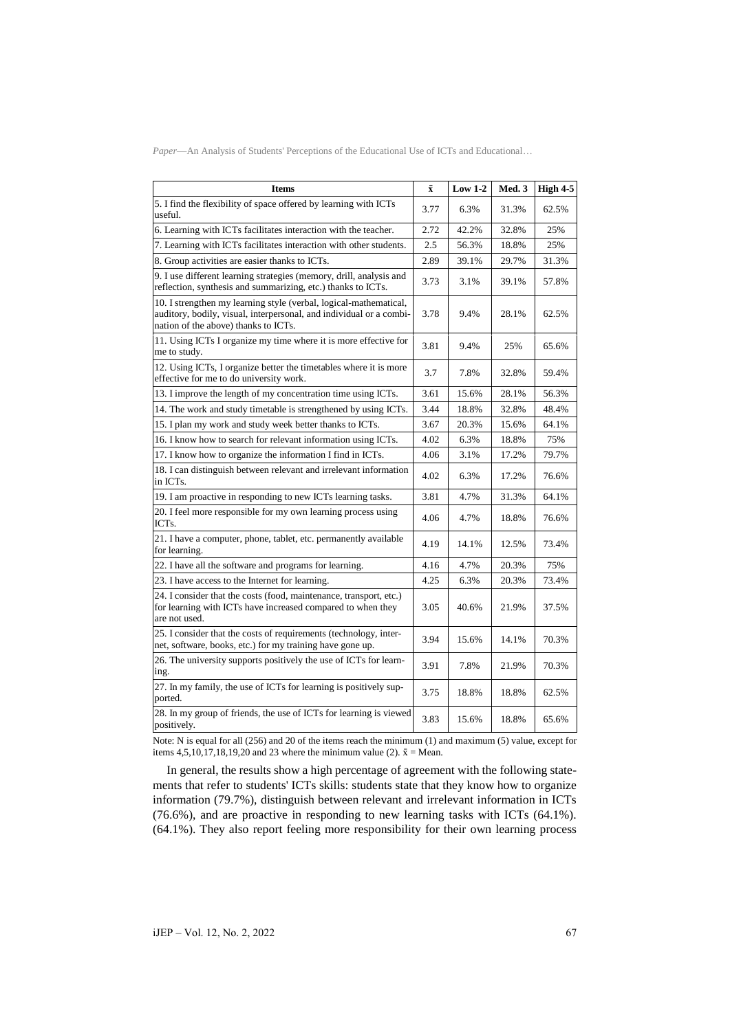| <b>Items</b>                                                                                                                                                                     | $\bar{\mathbf{x}}$ | $Low 1-2$ | Med. 3 | High 4-5 |
|----------------------------------------------------------------------------------------------------------------------------------------------------------------------------------|--------------------|-----------|--------|----------|
| 5. I find the flexibility of space offered by learning with ICTs<br>useful.                                                                                                      | 3.77               | 6.3%      | 31.3%  | 62.5%    |
| 6. Learning with ICTs facilitates interaction with the teacher.                                                                                                                  | 2.72               | 42.2%     | 32.8%  | 25%      |
| 7. Learning with ICTs facilitates interaction with other students.                                                                                                               | 2.5                | 56.3%     | 18.8%  | 25%      |
| 8. Group activities are easier thanks to ICTs.                                                                                                                                   | 2.89               | 39.1%     | 29.7%  | 31.3%    |
| 9. I use different learning strategies (memory, drill, analysis and<br>reflection, synthesis and summarizing, etc.) thanks to ICTs.                                              | 3.73               | 3.1%      | 39.1%  | 57.8%    |
| 10. I strengthen my learning style (verbal, logical-mathematical,<br>auditory, bodily, visual, interpersonal, and individual or a combi-<br>nation of the above) thanks to ICTs. | 3.78               | 9.4%      | 28.1%  | 62.5%    |
| 11. Using ICTs I organize my time where it is more effective for<br>me to study.                                                                                                 | 3.81               | 9.4%      | 25%    | 65.6%    |
| 12. Using ICTs, I organize better the timetables where it is more<br>effective for me to do university work.                                                                     | 3.7                | 7.8%      | 32.8%  | 59.4%    |
| 13. I improve the length of my concentration time using ICTs.                                                                                                                    | 3.61               | 15.6%     | 28.1%  | 56.3%    |
| 14. The work and study timetable is strengthened by using ICTs.                                                                                                                  | 3.44               | 18.8%     | 32.8%  | 48.4%    |
| 15. I plan my work and study week better thanks to ICTs.                                                                                                                         | 3.67               | 20.3%     | 15.6%  | 64.1%    |
| 16. I know how to search for relevant information using ICTs.                                                                                                                    | 4.02               | 6.3%      | 18.8%  | 75%      |
| 17. I know how to organize the information I find in ICTs.                                                                                                                       | 4.06               | 3.1%      | 17.2%  | 79.7%    |
| 18. I can distinguish between relevant and irrelevant information<br>in ICTs.                                                                                                    | 4.02               | 6.3%      | 17.2%  | 76.6%    |
| 19. I am proactive in responding to new ICTs learning tasks.                                                                                                                     | 3.81               | 4.7%      | 31.3%  | 64.1%    |
| 20. I feel more responsible for my own learning process using<br>ICT <sub>s</sub> .                                                                                              | 4.06               | 4.7%      | 18.8%  | 76.6%    |
| 21. I have a computer, phone, tablet, etc. permanently available<br>for learning.                                                                                                | 4.19               | 14.1%     | 12.5%  | 73.4%    |
| 22. I have all the software and programs for learning.                                                                                                                           | 4.16               | 4.7%      | 20.3%  | 75%      |
| 23. I have access to the Internet for learning.                                                                                                                                  | 4.25               | 6.3%      | 20.3%  | 73.4%    |
| 24. I consider that the costs (food, maintenance, transport, etc.)<br>for learning with ICTs have increased compared to when they<br>are not used.                               | 3.05               | 40.6%     | 21.9%  | 37.5%    |
| 25. I consider that the costs of requirements (technology, inter-<br>net, software, books, etc.) for my training have gone up.                                                   | 3.94               | 15.6%     | 14.1%  | 70.3%    |
| 26. The university supports positively the use of ICTs for learn-<br>ing.                                                                                                        | 3.91               | 7.8%      | 21.9%  | 70.3%    |
| 27. In my family, the use of ICTs for learning is positively sup-<br>ported.                                                                                                     | 3.75               | 18.8%     | 18.8%  | 62.5%    |
| 28. In my group of friends, the use of ICTs for learning is viewed<br>positively.                                                                                                | 3.83               | 15.6%     | 18.8%  | 65.6%    |

Note: N is equal for all (256) and 20 of the items reach the minimum (1) and maximum (5) value, except for items 4,5,10,17,18,19,20 and 23 where the minimum value (2).  $\bar{x}$  = Mean.

In general, the results show a high percentage of agreement with the following statements that refer to students' ICTs skills: students state that they know how to organize information (79.7%), distinguish between relevant and irrelevant information in ICTs (76.6%), and are proactive in responding to new learning tasks with ICTs (64.1%). (64.1%). They also report feeling more responsibility for their own learning process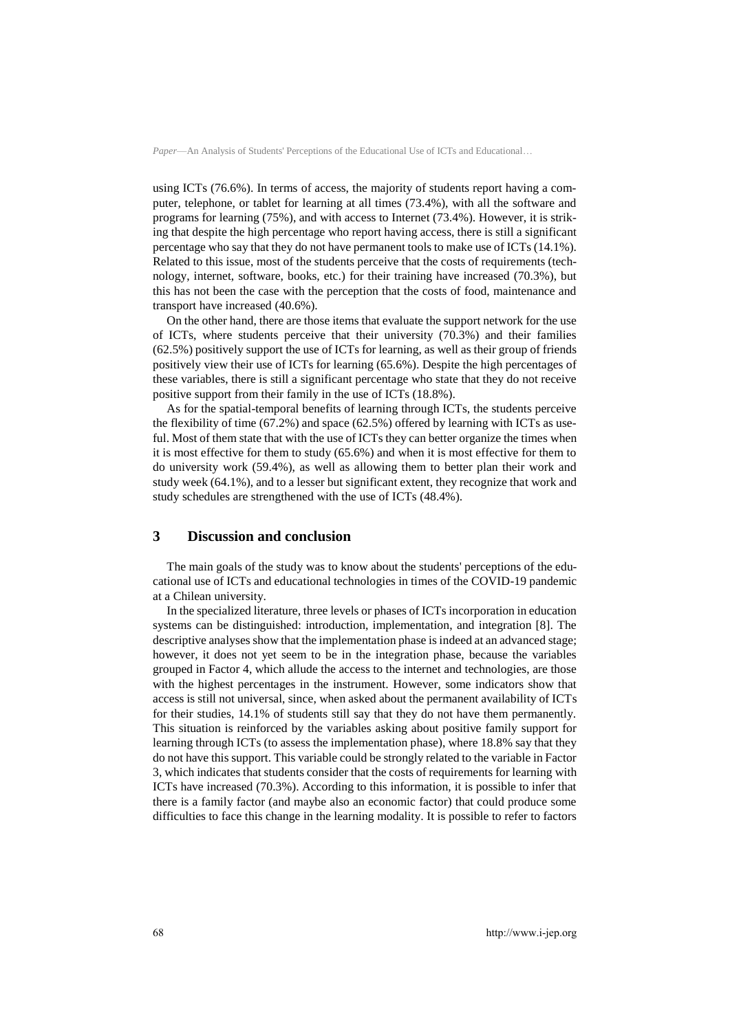using ICTs (76.6%). In terms of access, the majority of students report having a computer, telephone, or tablet for learning at all times (73.4%), with all the software and programs for learning (75%), and with access to Internet (73.4%). However, it is striking that despite the high percentage who report having access, there is still a significant percentage who say that they do not have permanent tools to make use of ICTs (14.1%). Related to this issue, most of the students perceive that the costs of requirements (technology, internet, software, books, etc.) for their training have increased (70.3%), but this has not been the case with the perception that the costs of food, maintenance and transport have increased (40.6%).

On the other hand, there are those items that evaluate the support network for the use of ICTs, where students perceive that their university (70.3%) and their families (62.5%) positively support the use of ICTs for learning, as well as their group of friends positively view their use of ICTs for learning (65.6%). Despite the high percentages of these variables, there is still a significant percentage who state that they do not receive positive support from their family in the use of ICTs (18.8%).

As for the spatial-temporal benefits of learning through ICTs, the students perceive the flexibility of time (67.2%) and space (62.5%) offered by learning with ICTs as useful. Most of them state that with the use of ICTs they can better organize the times when it is most effective for them to study (65.6%) and when it is most effective for them to do university work (59.4%), as well as allowing them to better plan their work and study week (64.1%), and to a lesser but significant extent, they recognize that work and study schedules are strengthened with the use of ICTs (48.4%).

# **3 Discussion and conclusion**

The main goals of the study was to know about the students' perceptions of the educational use of ICTs and educational technologies in times of the COVID-19 pandemic at a Chilean university.

In the specialized literature, three levels or phases of ICTs incorporation in education systems can be distinguished: introduction, implementation, and integration [8]. The descriptive analyses show that the implementation phase is indeed at an advanced stage; however, it does not yet seem to be in the integration phase, because the variables grouped in Factor 4, which allude the access to the internet and technologies, are those with the highest percentages in the instrument. However, some indicators show that access is still not universal, since, when asked about the permanent availability of ICTs for their studies, 14.1% of students still say that they do not have them permanently. This situation is reinforced by the variables asking about positive family support for learning through ICTs (to assess the implementation phase), where 18.8% say that they do not have this support. This variable could be strongly related to the variable in Factor 3, which indicates that students consider that the costs of requirements for learning with ICTs have increased (70.3%). According to this information, it is possible to infer that there is a family factor (and maybe also an economic factor) that could produce some difficulties to face this change in the learning modality. It is possible to refer to factors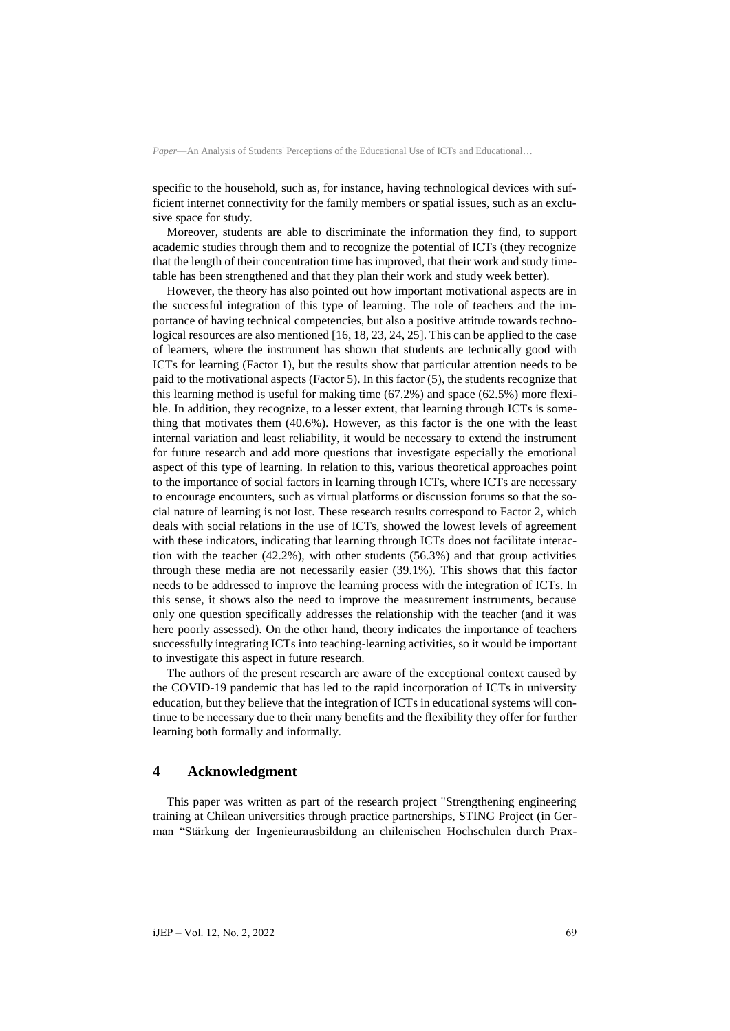specific to the household, such as, for instance, having technological devices with sufficient internet connectivity for the family members or spatial issues, such as an exclusive space for study.

Moreover, students are able to discriminate the information they find, to support academic studies through them and to recognize the potential of ICTs (they recognize that the length of their concentration time has improved, that their work and study timetable has been strengthened and that they plan their work and study week better).

However, the theory has also pointed out how important motivational aspects are in the successful integration of this type of learning. The role of teachers and the importance of having technical competencies, but also a positive attitude towards technological resources are also mentioned [16, 18, 23, 24, 25]. This can be applied to the case of learners, where the instrument has shown that students are technically good with ICTs for learning (Factor 1), but the results show that particular attention needs to be paid to the motivational aspects (Factor 5). In this factor (5), the students recognize that this learning method is useful for making time (67.2%) and space (62.5%) more flexible. In addition, they recognize, to a lesser extent, that learning through ICTs is something that motivates them (40.6%). However, as this factor is the one with the least internal variation and least reliability, it would be necessary to extend the instrument for future research and add more questions that investigate especially the emotional aspect of this type of learning. In relation to this, various theoretical approaches point to the importance of social factors in learning through ICTs, where ICTs are necessary to encourage encounters, such as virtual platforms or discussion forums so that the social nature of learning is not lost. These research results correspond to Factor 2, which deals with social relations in the use of ICTs, showed the lowest levels of agreement with these indicators, indicating that learning through ICTs does not facilitate interaction with the teacher (42.2%), with other students (56.3%) and that group activities through these media are not necessarily easier (39.1%). This shows that this factor needs to be addressed to improve the learning process with the integration of ICTs. In this sense, it shows also the need to improve the measurement instruments, because only one question specifically addresses the relationship with the teacher (and it was here poorly assessed). On the other hand, theory indicates the importance of teachers successfully integrating ICTs into teaching-learning activities, so it would be important to investigate this aspect in future research.

The authors of the present research are aware of the exceptional context caused by the COVID-19 pandemic that has led to the rapid incorporation of ICTs in university education, but they believe that the integration of ICTs in educational systems will continue to be necessary due to their many benefits and the flexibility they offer for further learning both formally and informally.

# **4 Acknowledgment**

This paper was written as part of the research project "Strengthening engineering training at Chilean universities through practice partnerships, STING Project (in German "Stärkung der Ingenieurausbildung an chilenischen Hochschulen durch Prax-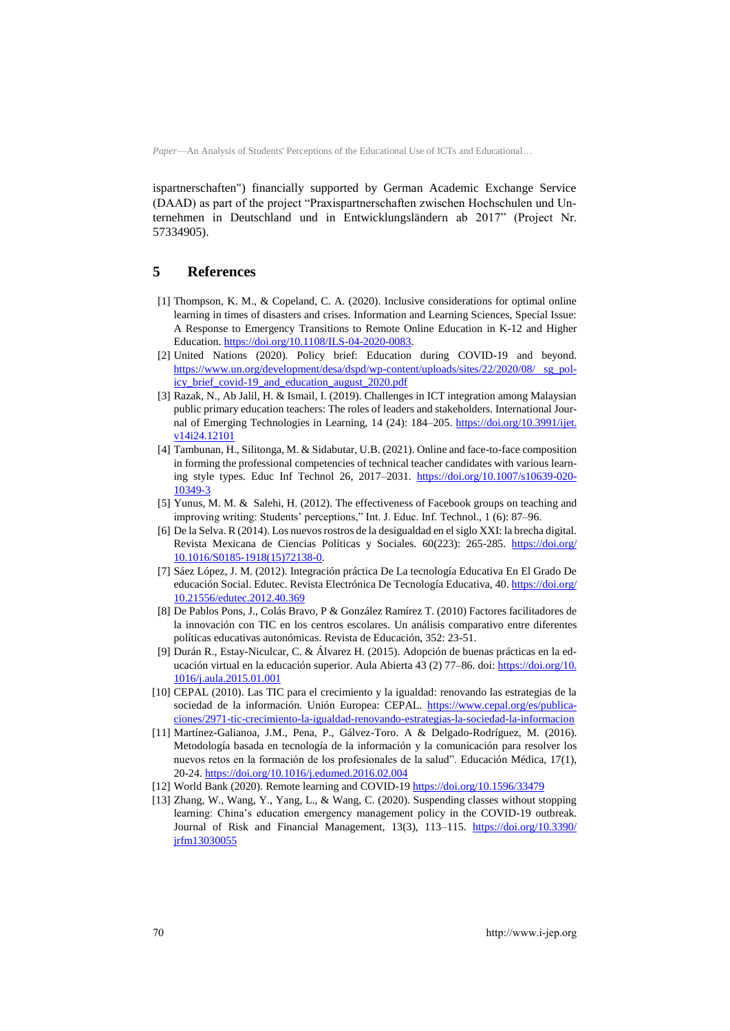ispartnerschaften") financially supported by German Academic Exchange Service (DAAD) as part of the project "Praxispartnerschaften zwischen Hochschulen und Unternehmen in Deutschland und in Entwicklungsländern ab 2017" (Project Nr. 57334905).

# **5 References**

- [1] Thompson, K. M., & Copeland, C. A. (2020). Inclusive considerations for optimal online learning in times of disasters and crises. Information and Learning Sciences, Special Issue: A Response to Emergency Transitions to Remote Online Education in K-12 and Higher Education[. https://doi.org/10.1108/ILS-04-2020-0083.](https://doi.org/10.1108/ILS-04-2020-0083)
- [2] United Nations (2020). Policy brief: Education during COVID-19 and beyond. [https://www.un.org/development/desa/dspd/wp-content/uploads/sites/22/2020/08/ sg\\_pol](https://www.un.org/development/desa/dspd/wp-content/uploads/sites/22/2020/08/%20sg_policy_brief_covid-19_and_education_august_2020.pdf)[icy\\_brief\\_covid-19\\_and\\_education\\_august\\_2020.pdf](https://www.un.org/development/desa/dspd/wp-content/uploads/sites/22/2020/08/%20sg_policy_brief_covid-19_and_education_august_2020.pdf)
- [3] Razak, N., Ab Jalil, H. & Ismail, I. (2019). Challenges in ICT integration among Malaysian public primary education teachers: The roles of leaders and stakeholders. International Journal of Emerging Technologies in Learning, 14 (24): 184–205. [https://doi.org/10.3991/ijet.](https://doi.org/10.3991/ijet.v14i24.12101) [v14i24.12101](https://doi.org/10.3991/ijet.v14i24.12101)
- [4] Tambunan, H., Silitonga, M. & Sidabutar, U.B. (2021). Online and face-to-face composition in forming the professional competencies of technical teacher candidates with various learning style types. Educ Inf Technol 26, 2017–2031. [https://doi.org/10.1007/s10639-020-](https://doi.org/10.1007/s10639-020-10349-3) [10349-3](https://doi.org/10.1007/s10639-020-10349-3)
- [5] Yunus, M. M. & Salehi, H. (2012). The effectiveness of Facebook groups on teaching and improving writing: Students' perceptions," Int. J. Educ. Inf. Technol., 1 (6): 87–96.
- [6] De la Selva. R (2014). Los nuevos rostros de la desigualdad en el siglo XXI: la brecha digital. Revista Mexicana de Ciencias Políticas y Sociales. 60(223): 265-285. [https://doi.org/](https://doi.org/10.1016/S0185-1918(15)72138-0) [10.1016/S0185-1918\(15\)72138-0.](https://doi.org/10.1016/S0185-1918(15)72138-0)
- [7] Sáez López, J. M. (2012). Integración práctica De La tecnología Educativa En El Grado De educación Social. Edutec. Revista Electrónica De Tecnología Educativa, 40. [https://doi.org/](https://doi.org/10.21556/edutec.2012.40.369) [10.21556/edutec.2012.40.369](https://doi.org/10.21556/edutec.2012.40.369)
- [8] De Pablos Pons, J., Colás Bravo, P & González Ramírez T. (2010) Factores facilitadores de la innovación con TIC en los centros escolares. Un análisis comparativo entre diferentes políticas educativas autonómicas. Revista de Educación, 352: 23-51.
- [9] Durán R., Estay-Niculcar, C. & Álvarez H. (2015). Adopción de buenas prácticas en la educación virtual en la educación superior. Aula Abierta 43 (2) 77–86. doi: [https://doi.org/10.](https://doi.org/10.1016/j.aula.2015.01.001) [1016/j.aula.2015.01.001](https://doi.org/10.1016/j.aula.2015.01.001)
- [10] CEPAL (2010). Las TIC para el crecimiento y la igualdad: renovando las estrategias de la sociedad de la información. Unión Europea: CEPAL. [https://www.cepal.org/es/publica](https://www.cepal.org/es/publicaciones/2971-tic-crecimiento-la-igualdad-renovando-estrategias-la-sociedad-la-informacion)[ciones/2971-tic-crecimiento-la-igualdad-renovando-estrategias-la-sociedad-la-informacion](https://www.cepal.org/es/publicaciones/2971-tic-crecimiento-la-igualdad-renovando-estrategias-la-sociedad-la-informacion)
- [11] Martínez-Galianoa, J.M., Pena, P., Gálvez-Toro. A & Delgado-Rodríguez, M. (2016). Metodología basada en tecnología de la información y la comunicación para resolver los nuevos retos en la formación de los profesionales de la salud". Educación Médica, 17(1), 20-24. <https://doi.org/10.1016/j.edumed.2016.02.004>
- [12] World Bank (2020). Remote learning and COVID-1[9 https://doi.org/10.1596/33479](https://doi.org/10.1596/33479)
- [13] Zhang, W., Wang, Y., Yang, L., & Wang, C. (2020). Suspending classes without stopping learning: China's education emergency management policy in the COVID-19 outbreak. Journal of Risk and Financial Management, 13(3), 113–115. [https://doi.org/10.3390/](https://doi.org/10.%0b3390/jrfm13030055) [jrfm13030055](https://doi.org/10.%0b3390/jrfm13030055)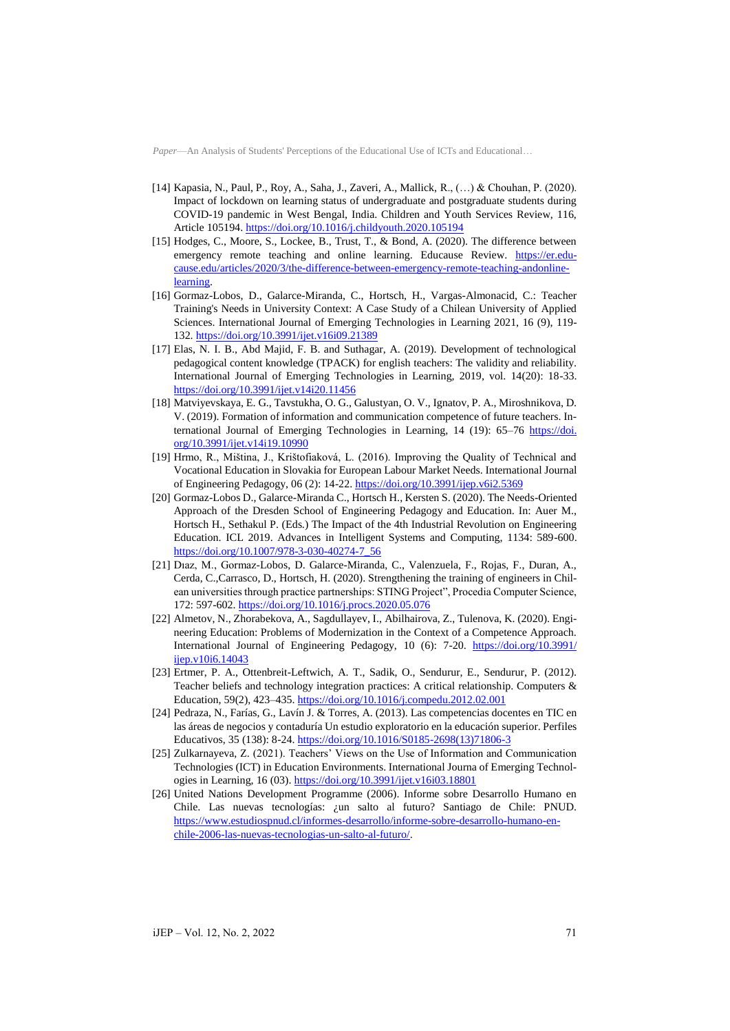- [14] Kapasia, N., Paul, P., Roy, A., Saha, J., Zaveri, A., Mallick, R., (…) & Chouhan, P. (2020). Impact of lockdown on learning status of undergraduate and postgraduate students during COVID-19 pandemic in West Bengal, India. Children and Youth Services Review, 116, Article 105194[. https://doi.org/10.1016/j.childyouth.2020.105194](https://doi.org/10.1016/j.childyouth.2020.105194)
- [15] Hodges, C., Moore, S., Lockee, B., Trust, T., & Bond, A. (2020). The difference between emergency remote teaching and online learning. Educause Review. [https://er.edu](https://er.educause.edu/articles/2020/3/the-difference-between-emergency-remote-teaching-andonline-learning)[cause.edu/articles/2020/3/the-difference-between-emergency-remote-teaching-andonline](https://er.educause.edu/articles/2020/3/the-difference-between-emergency-remote-teaching-andonline-learning)[learning.](https://er.educause.edu/articles/2020/3/the-difference-between-emergency-remote-teaching-andonline-learning)
- [16] Gormaz-Lobos, D., Galarce-Miranda, C., Hortsch, H., Vargas-Almonacid, C.: Teacher Training's Needs in University Context: A Case Study of a Chilean University of Applied Sciences. International Journal of Emerging Technologies in Learning 2021, 16 (9), 119- 132.<https://doi.org/10.3991/ijet.v16i09.21389>
- [17] Elas, N. I. B., Abd Majid, F. B. and Suthagar, A. (2019). Development of technological pedagogical content knowledge (TPACK) for english teachers: The validity and reliability. International Journal of Emerging Technologies in Learning, 2019, vol. 14(20): 18-33. <https://doi.org/10.3991/ijet.v14i20.11456>
- [18] Matviyevskaya, E. G., Tavstukha, O. G., Galustyan, O. V., Ignatov, P. A., Miroshnikova, D. V. (2019). Formation of information and communication competence of future teachers. International Journal of Emerging Technologies in Learning, 14 (19): 65–76 [https://doi.](https://doi.org/10.3991/ijet.v14i19.10990) [org/10.3991/ijet.v14i19.10990](https://doi.org/10.3991/ijet.v14i19.10990)
- [19] Hrmo, R., Miština, J., Krištofiaková, L. (2016). Improving the Quality of Technical and Vocational Education in Slovakia for European Labour Market Needs. International Journal of Engineering Pedagogy, 06 (2): 14-22[. https://doi.org/10.3991/ijep.v6i2.5369](https://doi.org/10.3991/ijep.v6i2.5369)
- [20] Gormaz-Lobos D., Galarce-Miranda C., Hortsch H., Kersten S. (2020). The Needs-Oriented Approach of the Dresden School of Engineering Pedagogy and Education. In: Auer M., Hortsch H., Sethakul P. (Eds.) The Impact of the 4th Industrial Revolution on Engineering Education. ICL 2019. Advances in Intelligent Systems and Computing, 1134: 589-600. [https://doi.org/10.1007/978-3-030-40274-7\\_56](https://doi.org/10.1007/978-3-030-40274-7_56)
- [21] Dıaz, M., Gormaz-Lobos, D. Galarce-Miranda, C., Valenzuela, F., Rojas, F., Duran, A., Cerda, C.,Carrasco, D., Hortsch, H. (2020). Strengthening the training of engineers in Chilean universities through practice partnerships: STING Project", Procedia Computer Science, 172: 597-602[. https://doi.org/10.1016/j.procs.2020.05.076](https://doi.org/10.1016/j.procs.2020.05.076)
- [22] Almetov, N., Zhorabekova, A., Sagdullayev, I., Abilhairova, Z., Tulenova, K. (2020). Engineering Education: Problems of Modernization in the Context of a Competence Approach. International Journal of Engineering Pedagogy, 10 (6): 7-20. [https://doi.org/10.3991/](https://doi.org/10.3991/ijep.v10i6.14043) [ijep.v10i6.14043](https://doi.org/10.3991/ijep.v10i6.14043)
- [23] Ertmer, P. A., Ottenbreit-Leftwich, A. T., Sadik, O., Sendurur, E., Sendurur, P. (2012). Teacher beliefs and technology integration practices: A critical relationship. Computers & Education, 59(2), 423–435. <https://doi.org/10.1016/j.compedu.2012.02.001>
- [24] Pedraza, N., Farías, G., Lavín J. & Torres, A. (2013). Las competencias docentes en TIC en las áreas de negocios y contaduría Un estudio exploratorio en la educación superior. Perfiles Educativos, 35 (138): 8-24. [https://doi.org/10.1016/S0185-2698\(13\)71806-3](https://doi.org/10.1016/S0185-2698(13)71806-3)
- [25] Zulkarnayeva, Z. (2021). Teachers' Views on the Use of Information and Communication Technologies (ICT) in Education Environments. International Journa of Emerging Technologies in Learning, 16 (03).<https://doi.org/10.3991/ijet.v16i03.18801>
- [26] United Nations Development Programme (2006). Informe sobre Desarrollo Humano en Chile. Las nuevas tecnologías: ¿un salto al futuro? Santiago de Chile: PNUD. [https://www.estudiospnud.cl/informes-desarrollo/informe-sobre-desarrollo-humano-en](https://www.estudiospnud.cl/informes-desarrollo/informe-sobre-desarrollo-humano-en-chile-2006-las-nuevas-tecnologias-un-salto-al-futuro/)[chile-2006-las-nuevas-tecnologias-un-salto-al-futuro/.](https://www.estudiospnud.cl/informes-desarrollo/informe-sobre-desarrollo-humano-en-chile-2006-las-nuevas-tecnologias-un-salto-al-futuro/)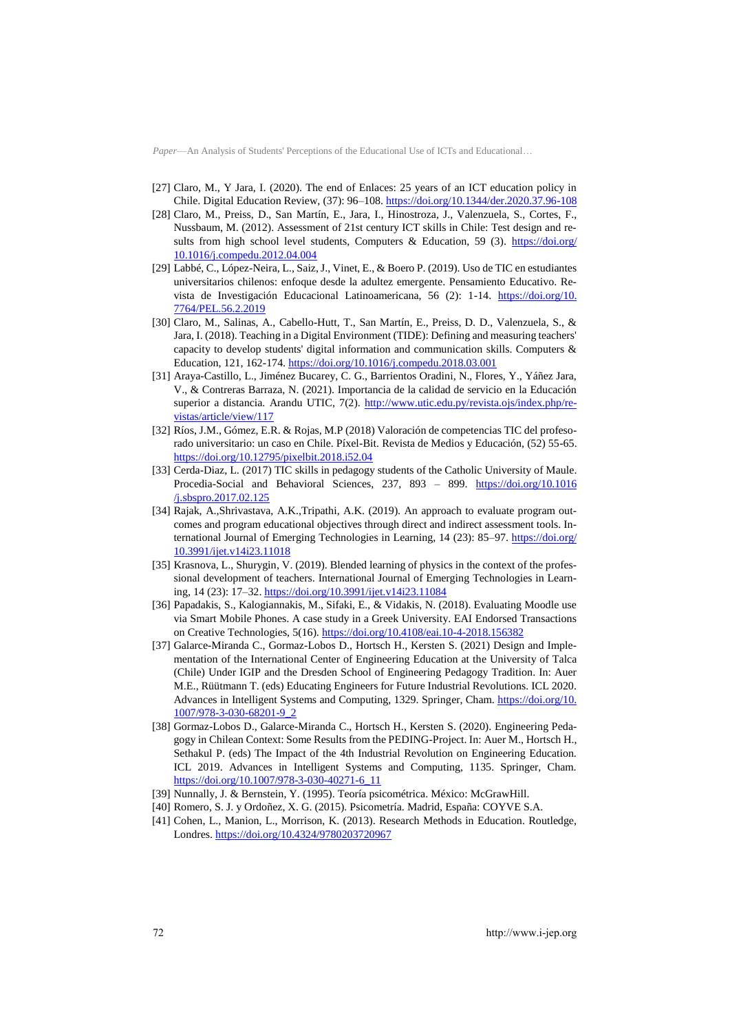- [27] Claro, M., Y Jara, I. (2020). The end of Enlaces: 25 years of an ICT education policy in Chile. Digital Education Review, (37): 96–108.<https://doi.org/10.1344/der.2020.37.96-108>
- [28] Claro, M., Preiss, D., San Martín, E., Jara, I., Hinostroza, J., Valenzuela, S., Cortes, F., Nussbaum, M. (2012). Assessment of 21st century ICT skills in Chile: Test design and results from high school level students, Computers & Education, 59 (3). [https://doi.org/](https://doi.org/10.1016/j.compedu.2012.04.004) [10.1016/j.compedu.2012.04.004](https://doi.org/10.1016/j.compedu.2012.04.004)
- [29] Labbé, C., López-Neira, L., Saiz, J., Vinet, E., & Boero P. (2019). Uso de TIC en estudiantes universitarios chilenos: enfoque desde la adultez emergente. Pensamiento Educativo. Revista de Investigación Educacional Latinoamericana, 56 (2): 1-14. [https://doi.org/10.](https://doi.org/10.7764/PEL.56.2.2019) [7764/PEL.56.2.2019](https://doi.org/10.7764/PEL.56.2.2019)
- [30] Claro, M., Salinas, A., Cabello-Hutt, T., San Martín, E., Preiss, D. D., Valenzuela, S., & Jara, I. (2018). Teaching in a Digital Environment (TIDE): Defining and measuring teachers' capacity to develop students' digital information and communication skills. Computers & Education, 121, 162-174. <https://doi.org/10.1016/j.compedu.2018.03.001>
- [31] Araya-Castillo, L., Jiménez Bucarey, C. G., Barrientos Oradini, N., Flores, Y., Yáñez Jara, V., & Contreras Barraza, N. (2021). Importancia de la calidad de servicio en la Educación superior a distancia. Arandu UTIC, 7(2). [http://www.utic.edu.py/revista.ojs/index.php/re](http://www.utic.edu.py/revista.ojs/index.php/revistas/article/view/117)[vistas/article/view/117](http://www.utic.edu.py/revista.ojs/index.php/revistas/article/view/117)
- [32] Ríos, J.M., Gómez, E.R. & Rojas, M.P (2018) Valoración de competencias TIC del profesorado universitario: un caso en Chile. Píxel-Bit. Revista de Medios y Educación, (52) 55-65. <https://doi.org/10.12795/pixelbit.2018.i52.04>
- [33] Cerda-Diaz, L. (2017) TIC skills in pedagogy students of the Catholic University of Maule. Procedia-Social and Behavioral Sciences, 237, 893 – 899. [https://doi.org/10.1016](https://doi.org/10.1016/j.sbspro.2017.02.125) [/j.sbspro.2017.02.125](https://doi.org/10.1016/j.sbspro.2017.02.125)
- [34] Rajak, A.,Shrivastava, A.K.,Tripathi, A.K. (2019). An approach to evaluate program outcomes and program educational objectives through direct and indirect assessment tools. International Journal of Emerging Technologies in Learning, 14 (23): 85-97. [https://doi.org/](https://doi.org/10.3991/ijet.v14i23.11018) [10.3991/ijet.v14i23.11018](https://doi.org/10.3991/ijet.v14i23.11018)
- [35] Krasnova, L., Shurygin, V. (2019). Blended learning of physics in the context of the professional development of teachers. International Journal of Emerging Technologies in Learning, 14 (23): 17–32.<https://doi.org/10.3991/ijet.v14i23.11084>
- [36] Papadakis, S., Kalogiannakis, M., Sifaki, E., & Vidakis, N. (2018). Evaluating Moodle use via Smart Mobile Phones. A case study in a Greek University. EAI Endorsed Transactions on Creative Technologies, 5(16)[. https://doi.org/10.4108/eai.10-4-2018.156382](https://doi.org/10.4108/eai.10-4-2018.156382)
- [37] Galarce-Miranda C., Gormaz-Lobos D., Hortsch H., Kersten S. (2021) Design and Implementation of the International Center of Engineering Education at the University of Talca (Chile) Under IGIP and the Dresden School of Engineering Pedagogy Tradition. In: Auer M.E., Rüütmann T. (eds) Educating Engineers for Future Industrial Revolutions. ICL 2020. Advances in Intelligent Systems and Computing, 1329. Springer, Cham. [https://doi.org/10.](https://doi.org/10.1007/978-3-030-68201-9_2) [1007/978-3-030-68201-9\\_2](https://doi.org/10.1007/978-3-030-68201-9_2)
- [38] Gormaz-Lobos D., Galarce-Miranda C., Hortsch H., Kersten S. (2020). Engineering Pedagogy in Chilean Context: Some Results from the PEDING-Project. In: Auer M., Hortsch H., Sethakul P. (eds) The Impact of the 4th Industrial Revolution on Engineering Education. ICL 2019. Advances in Intelligent Systems and Computing, 1135. Springer, Cham. [https://doi.org/10.1007/978-3-030-40271-6\\_11](https://doi.org/10.1007/978-3-030-40271-6_11)
- [39] Nunnally, J. & Bernstein, Y. (1995). Teoría psicométrica. México: McGrawHill.
- [40] Romero, S. J. y Ordoñez, X. G. (2015). Psicometría. Madrid, España: COYVE S.A.
- [41] Cohen, L., Manion, L., Morrison, K. (2013). Research Methods in Education. Routledge, Londres. <https://doi.org/10.4324/9780203720967>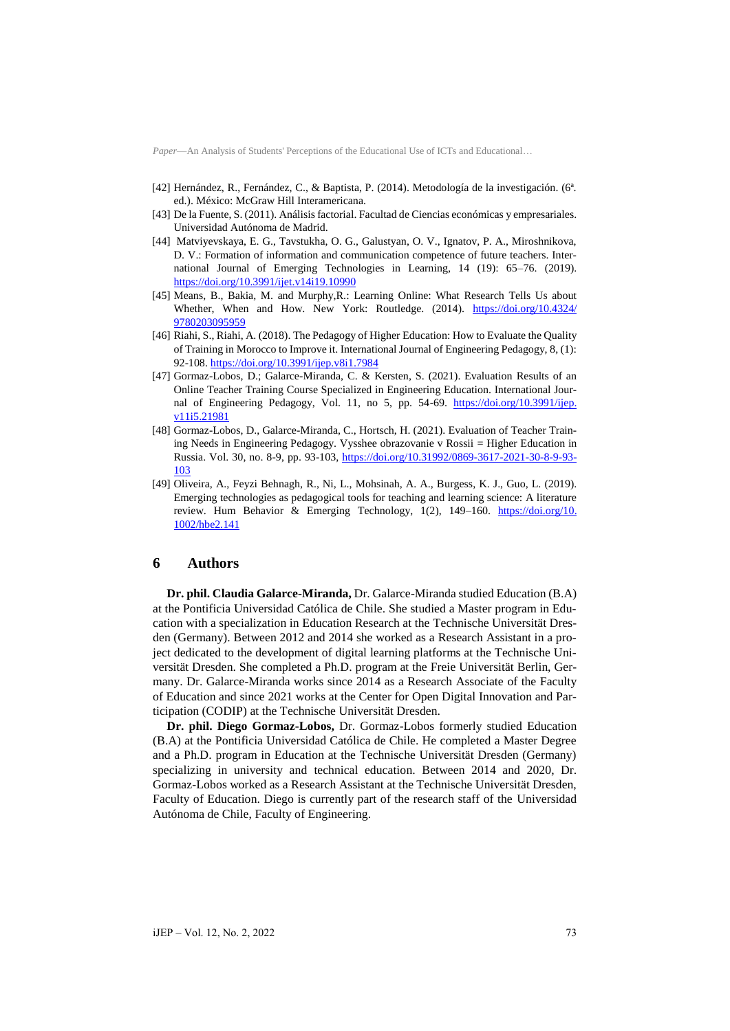- [42] Hernández, R., Fernández, C., & Baptista, P. (2014). Metodología de la investigación. (6ª. ed.). México: McGraw Hill Interamericana.
- [43] De la Fuente, S. (2011). Análisis factorial. Facultad de Ciencias económicas y empresariales. Universidad Autónoma de Madrid.
- [44] Matviyevskaya, E. G., Tavstukha, O. G., Galustyan, O. V., Ignatov, P. A., Miroshnikova, D. V.: Formation of information and communication competence of future teachers. International Journal of Emerging Technologies in Learning, 14 (19): 65–76. (2019). <https://doi.org/10.3991/ijet.v14i19.10990>
- [45] Means, B., Bakia, M. and Murphy,R.: Learning Online: What Research Tells Us about Whether, When and How. New York: Routledge. (2014). [https://doi.org/10.4324/](https://doi.org/10.4324/9780203095959) [9780203095959](https://doi.org/10.4324/9780203095959)
- [46] Riahi, S., Riahi, A. (2018). The Pedagogy of Higher Education: How to Evaluate the Quality of Training in Morocco to Improve it. International Journal of Engineering Pedagogy, 8, (1): 92-108.<https://doi.org/10.3991/ijep.v8i1.7984>
- [47] Gormaz-Lobos, D.; Galarce-Miranda, C. & Kersten, S. (2021). Evaluation Results of an Online Teacher Training Course Specialized in Engineering Education. International Journal of Engineering Pedagogy, Vol. 11, no 5, pp. 54-69. [https://doi.org/10.3991/ijep.](https://doi.org/10.3991/ijep.v11i5.21981) [v11i5.21981](https://doi.org/10.3991/ijep.v11i5.21981)
- [48] Gormaz-Lobos, D., Galarce-Miranda, C., Hortsch, H. (2021). Evaluation of Teacher Training Needs in Engineering Pedagogy. Vysshee obrazovanie v Rossii = Higher Education in Russia. Vol. 30, no. 8-9, pp. 93-103, [https://doi.org/10.31992/0869-3617-2021-30-8-9-93-](https://doi.org/10.31992/0869-3617-2021-30-8-9-93-103) [103](https://doi.org/10.31992/0869-3617-2021-30-8-9-93-103)
- [49] Oliveira, A., Feyzi Behnagh, R., Ni, L., Mohsinah, A. A., Burgess, K. J., Guo, L. (2019). Emerging technologies as pedagogical tools for teaching and learning science: A literature review. Hum Behavior & Emerging Technology, 1(2), 149–160. [https://doi.org/10.](https://doi.org/10.1002/hbe2.141) [1002/hbe2.141](https://doi.org/10.1002/hbe2.141)

## **6 Authors**

**Dr. phil. Claudia Galarce-Miranda,** Dr. Galarce-Miranda studied Education (B.A) at the Pontificia Universidad Católica de Chile. She studied a Master program in Education with a specialization in Education Research at the Technische Universität Dresden (Germany). Between 2012 and 2014 she worked as a Research Assistant in a project dedicated to the development of digital learning platforms at the Technische Universität Dresden. She completed a Ph.D. program at the Freie Universität Berlin, Germany. Dr. Galarce-Miranda works since 2014 as a Research Associate of the Faculty of Education and since 2021 works at the Center for Open Digital Innovation and Participation (CODIP) at the Technische Universität Dresden.

**Dr. phil. Diego Gormaz-Lobos,** Dr. Gormaz-Lobos formerly studied Education (B.A) at the Pontificia Universidad Católica de Chile. He completed a Master Degree and a Ph.D. program in Education at the Technische Universität Dresden (Germany) specializing in university and technical education. Between 2014 and 2020, Dr. Gormaz-Lobos worked as a Research Assistant at the Technische Universität Dresden, Faculty of Education. Diego is currently part of the research staff of the Universidad Autónoma de Chile, Faculty of Engineering.